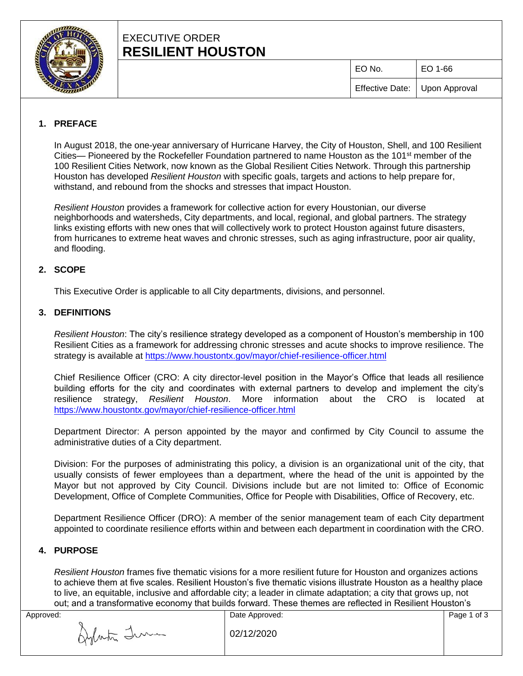

# EXECUTIVE ORDER **RESILIENT HOUSTON**

EO No. EO 1-66

Effective Date: Upon Approval

## **1. PREFACE**

In August 2018, the one-year anniversary of Hurricane Harvey, the City of Houston, Shell, and 100 Resilient Cities— Pioneered by the Rockefeller Foundation partnered to name Houston as the 101<sup>st</sup> member of the 100 Resilient Cities Network, now known as the Global Resilient Cities Network. Through this partnership Houston has developed *Resilient Houston* with specific goals, targets and actions to help prepare for, withstand, and rebound from the shocks and stresses that impact Houston.

*Resilient Houston* provides a framework for collective action for every Houstonian, our diverse neighborhoods and watersheds, City departments, and local, regional, and global partners. The strategy links existing efforts with new ones that will collectively work to protect Houston against future disasters, from hurricanes to extreme heat waves and chronic stresses, such as aging infrastructure, poor air quality, and flooding.

### **2. SCOPE**

This Executive Order is applicable to all City departments, divisions, and personnel.

### **3. DEFINITIONS**

*Resilient Houston*: The city's resilience strategy developed as a component of Houston's membership in 100 Resilient Cities as a framework for addressing chronic stresses and acute shocks to improve resilience. The strategy is available at<https://www.houstontx.gov/mayor/chief-resilience-officer.html>

Chief Resilience Officer (CRO: A city director-level position in the Mayor's Office that leads all resilience building efforts for the city and coordinates with external partners to develop and implement the city's resilience strategy, *Resilient Houston*. More information about the CRO is located at <https://www.houstontx.gov/mayor/chief-resilience-officer.html>

Department Director: A person appointed by the mayor and confirmed by City Council to assume the administrative duties of a City department.

Division: For the purposes of administrating this policy, a division is an organizational unit of the city, that usually consists of fewer employees than a department, where the head of the unit is appointed by the Mayor but not approved by City Council. Divisions include but are not limited to: Office of Economic Development, Office of Complete Communities, Office for People with Disabilities, Office of Recovery, etc.

Department Resilience Officer (DRO): A member of the senior management team of each City department appointed to coordinate resilience efforts within and between each department in coordination with the CRO.

### **4. PURPOSE**

*Resilient Houston* frames five thematic visions for a more resilient future for Houston and organizes actions to achieve them at five scales. Resilient Houston's five thematic visions illustrate Houston as a healthy place to live, an equitable, inclusive and affordable city; a leader in climate adaptation; a city that grows up, not out; and a transformative economy that builds forward. These themes are reflected in Resilient Houston's

Aylata Tum

Approved: 2002 and 2008 and 2008 and 2008 and 2008 and 2008 and 2008 and 2008 and 2008 and 2008 and 2008 and 20 02/12/2020

Page 1 of 3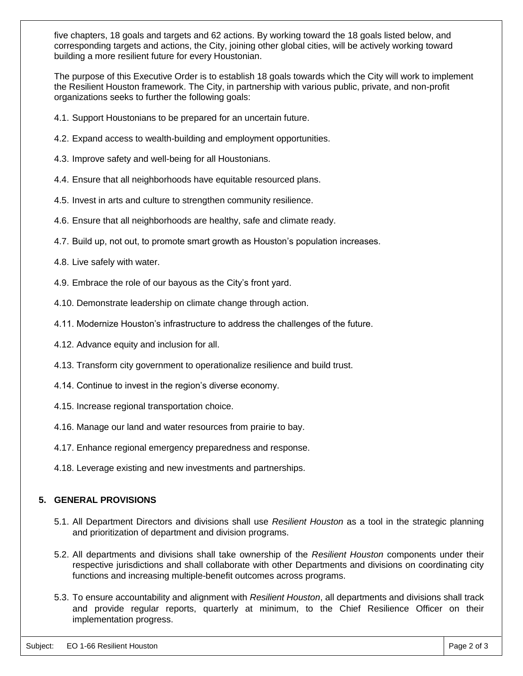five chapters, 18 goals and targets and 62 actions. By working toward the 18 goals listed below, and corresponding targets and actions, the City, joining other global cities, will be actively working toward building a more resilient future for every Houstonian.

The purpose of this Executive Order is to establish 18 goals towards which the City will work to implement the Resilient Houston framework. The City, in partnership with various public, private, and non-profit organizations seeks to further the following goals:

- 4.1. Support Houstonians to be prepared for an uncertain future.
- 4.2. Expand access to wealth-building and employment opportunities.
- 4.3. Improve safety and well-being for all Houstonians.
- 4.4. Ensure that all neighborhoods have equitable resourced plans.
- 4.5. Invest in arts and culture to strengthen community resilience.
- 4.6. Ensure that all neighborhoods are healthy, safe and climate ready.
- 4.7. Build up, not out, to promote smart growth as Houston's population increases.
- 4.8. Live safely with water.
- 4.9. Embrace the role of our bayous as the City's front yard.
- 4.10. Demonstrate leadership on climate change through action.
- 4.11. Modernize Houston's infrastructure to address the challenges of the future.
- 4.12. Advance equity and inclusion for all.
- 4.13. Transform city government to operationalize resilience and build trust.
- 4.14. Continue to invest in the region's diverse economy.
- 4.15. Increase regional transportation choice.
- 4.16. Manage our land and water resources from prairie to bay.
- 4.17. Enhance regional emergency preparedness and response.
- 4.18. Leverage existing and new investments and partnerships.

### **5. GENERAL PROVISIONS**

- 5.1. All Department Directors and divisions shall use *Resilient Houston* as a tool in the strategic planning and prioritization of department and division programs.
- 5.2. All departments and divisions shall take ownership of the *Resilient Houston* components under their respective jurisdictions and shall collaborate with other Departments and divisions on coordinating city functions and increasing multiple-benefit outcomes across programs.
- 5.3. To ensure accountability and alignment with *Resilient Houston*, all departments and divisions shall track and provide regular reports, quarterly at minimum, to the Chief Resilience Officer on their implementation progress.